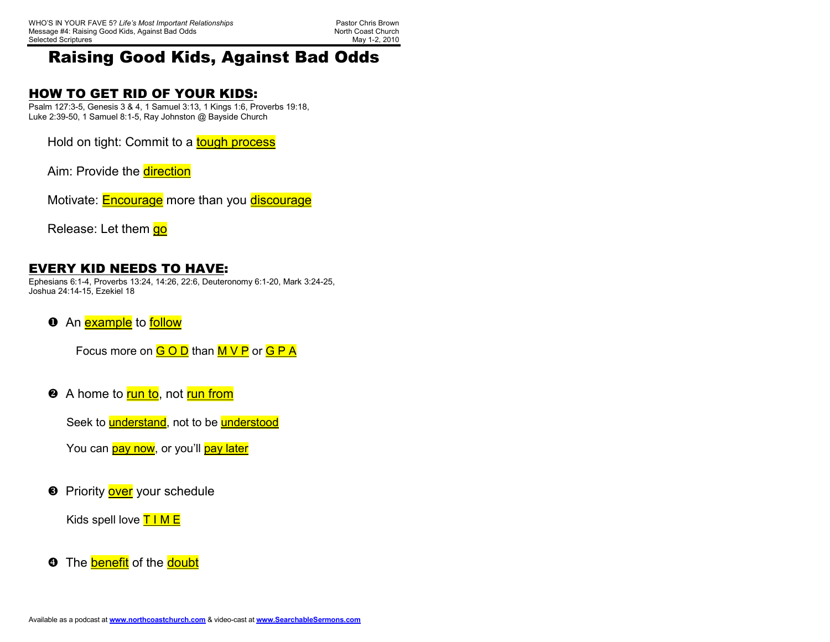North Coast Church May 1-2, 2010

## Raising Good Kids, Against Bad Odds

#### HOW TO GET RID OF YOUR KIDS:

 Psalm 127:3-5, Genesis 3 & 4, 1 Samuel 3:13, 1 Kings 1:6, Proverbs 19:18, Luke 2:39-50, 1 Samuel 8:1-5, Ray Johnston @ Bayside Church

Hold on tight: Commit to a tough process

Aim: Provide the direction

Motivate: **Encourage** more than you discourage

Release: Let them go

#### EVERY KID NEEDS TO HAVE:

 Ephesians 6:1-4, Proverbs 13:24, 14:26, 22:6, Deuteronomy 6:1-20, Mark 3:24-25, Joshua 24:14-15, Ezekiel 18

**O** An **example** to **follow** 

Focus more on  $G O D$  than  $M V P$  or  $G P A$ 

❷ A home to <mark>run to</mark>, not <mark>run from</mark>

Seek to **understand**, not to be **understood** 

You can *pay now*, or you'll *pay later* 

**8** Priority **over** your schedule

Kids spell love  $T$  I M E

**O** The **benefit** of the **doubt**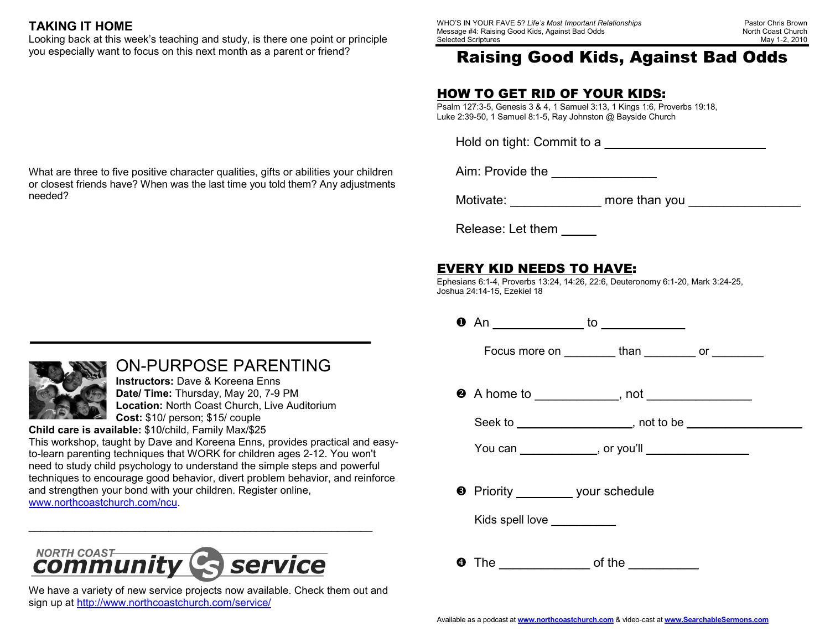### TAKING IT HOME

 Looking back at this week's teaching and study, is there one point or principle you especially want to focus on this next month as a parent or friend?

What are three to five positive character qualities, gifts or abilities your children or closest friends have? When was the last time you told them? Any adjustments needed?

## ON-PURPOSE PARENTING

Instructors: Dave & Koreena Enns Date/ Time: Thursday, May 20, 7-9 PM Location: North Coast Church, Live Auditorium Cost: \$10/ person; \$15/ couple

Child care is available: \$10/child, Family Max/\$25

 This workshop, taught by Dave and Koreena Enns, provides practical and easyto-learn parenting techniques that WORK for children ages 2-12. You won't need to study child psychology to understand the simple steps and powerful techniques to encourage good behavior, divert problem behavior, and reinforce and strengthen your bond with your children. Register online, www.northcoastchurch.com/ncu. \_\_\_\_\_\_\_\_\_\_\_\_\_\_\_\_\_\_\_\_\_\_\_\_\_\_\_\_\_\_\_\_\_\_\_\_\_\_\_\_\_\_\_\_\_\_\_\_\_\_\_\_\_\_\_\_\_\_\_



We have a variety of new service projects now available. Check them out and sign up at http://www.northcoastchurch.com/service/

WHO'S IN YOUR FAVE 5? Life's Most Important Relationships Pastor Chris Brown Message #4: Raising Good Kids, Against Bad Odds Selected Scriptures

North Coast Church May 1-2, 2010

# Raising Good Kids, Against Bad Odds

### HOW TO GET RID OF YOUR KIDS:

 Psalm 127:3-5, Genesis 3 & 4, 1 Samuel 3:13, 1 Kings 1:6, Proverbs 19:18, Luke 2:39-50, 1 Samuel 8:1-5, Ray Johnston @ Bayside Church

Hold on tight: Commit to a

Aim: Provide the \_\_\_\_\_\_\_\_\_\_\_\_\_\_\_

Motivate: **Motivate: Motivate:**  $\blacksquare$ 

Release: Let them

## EVERY KID NEEDS TO HAVE:

 Ephesians 6:1-4, Proverbs 13:24, 14:26, 22:6, Deuteronomy 6:1-20, Mark 3:24-25, Joshua 24:14-15, Ezekiel 18

An \_\_\_\_\_\_\_\_\_\_\_\_\_ to \_\_\_\_\_\_\_\_\_\_\_\_

Focus more on \_\_\_\_\_\_\_\_\_ than \_\_\_\_\_\_\_\_\_ or \_\_\_\_\_\_\_\_

**@** A home to \_\_\_\_\_\_\_\_\_\_\_, not \_\_\_\_\_\_\_\_\_\_\_\_

Seek to \_\_\_\_\_\_\_\_\_\_\_\_\_\_\_\_\_\_, not to be \_\_\_\_\_\_\_\_\_\_\_\_\_\_\_\_\_\_

You can \_\_\_\_\_\_\_\_\_\_\_\_\_, or you'll \_\_\_\_\_\_\_

**•** Priority **your schedule** 

Kids spell love

 $\bullet$  The of the  $\qquad \qquad$